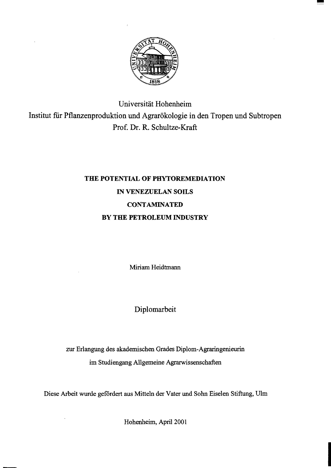

Universität Hohenheim Institut für Pflanzenproduktion und Agrarökologie in den Tropen und Subtropen Prof. Dr. R. SchuItze-Kraft

## THE POTENTIAL OF PHYTOREMEDIATION IN VENEZUELAN SOlLS **CONTAMINATED** BY THE PETROLEUM INDUSTRY

Miriam Heidtmann

Diplomarbeit

zur Erlangung des akademischen Grades Diplorn-Agraringenieurin im Studiengang Allgemeine Agrarwissenschaften

Diese Arbeit wurde gefördert aus Mitteln der Vater und Sohn Eiselen Stiftung, Ulrn

Hohenheim, April 2001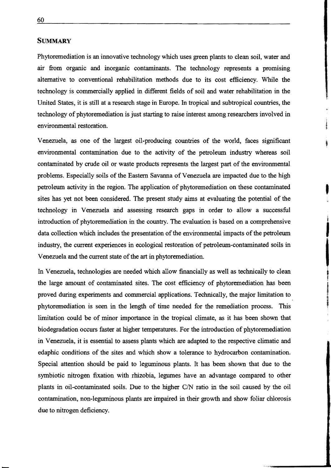## **SUMMARY**

Phytoremediation is an innovative technology which uses green plants to clean soil, water and air from organic and inorganic contaminants. The technology represents a promising alternative to conventional rehabilitation methods due to its cost efficiency. While the technology is commercially applied in different fields of soil and water rehabilitation in the United States, it is still at a research stage in Europe. In tropical and subtropical countries, the technology of phytoremediation is just starting to raise interest among researchers involved in environmental restoration.

Venezuela, as one of the largest oil-producing countries of the world, faces significant environmental contamination due to the activity of the petroleum industry whereas soil contaminated by crude oil or waste products represents the largest part of the environmental problems. Especially soils of the Eastern Savanna of Venezuela are impacted due to the high contaminated by crude oil or waste products represents the largest part of the environmental problems. Especially soils of the Eastern Savanna of Venezuela are impacted due to the high petroleum activity in the region. The sites has yet not been considered. The present study aims at evaluating the potential of the technology in Venezuela and assessing research gaps in order to allow a successful introduction of phytoremediation in the country. The evaluation is based on a comprehensive data collection which includes the presentation of the environmental impacts of the petroleum industry, the current experiences in ecological restoration of petroleum-contaminated soils in Venezuela and the current state of the art in phytoremediation.

In Venezuela, technologies are needed which allow financially as weIl as technically to clean the large amount of contaminated sites. The cost efficiency of phytoremediation has been proved during experiments and commercial applications. Technica1ly, the major limitation to phytoremediation is seen in the length of time needed for the remediation process. This limitation could be of minor importance in the tropical climate, as it has been shown that biodegradation occurs faster at higher temperatures. For the introduction of phytoremediation in Venezuela, it is essential to assess plants which are adapted to the respective climatic and edaphic conditions of the sites and which show a tolerance to hydrocarbon contamination. Special attention should be paid to leguminous plants. It has been shown that due to the symbiotic nitrogen fixation with rhizobia, legumes have an advantage compared to other plants in oil-contaminated soils. Due to the higher  $C/N$  ratio in the soil caused by the oil contamination, non-Ieguminous plants are impaired in their growth and show foliar chlorosis due to nitrogen deficiency.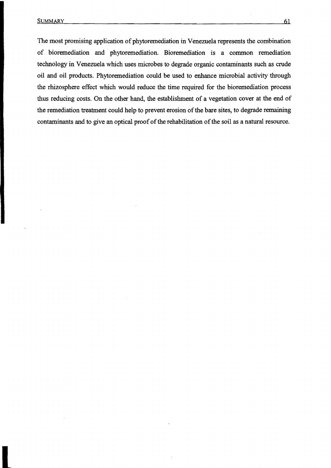The most promising application of phytoremediation in Venezuela represents the combination of bioremediation and phytoremediation. Bioremediation is a common remediation technology in Venezuela which uses microbes to degrade organie contaminants such as crude oil and oil products. Phytoremediation could be used to enhance microbial activity through the rhizosphere effect which would reduce the time required for the bioremediation process thus reducing costs. On the other hand, the establishment of a vegetation cover at the end of the remediation treatment could help to prevent erosion of the bare sites, to degrade remaining contaminants and to give an optical proof of the rehabilitation of the soil as a natural resource.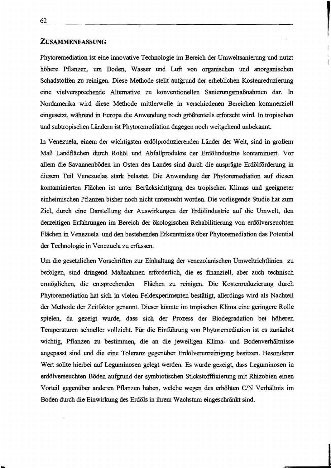## ZUSAMMENFASSUNG

Phytoremediation ist eine innovative Technologie im Bereich der Umweltsanierung und nutzt höhere Pflanzen, um Boden, Wasser und Luft von organischen und anorganischen Schadstoffen zu reinigen. Diese Methode stellt aufgrund der erheblichen Kostenreduzierung eine vielversprechende Alternative zu konventionellen Sanierungsmaßnahmen dar. In Nordamerika wird diese Methode mittlerweile in verschiedenen Bereichen kommerziell eingesetzt, während in Europa die Anwendung noch größtenteils erforscht wird. In tropischen und subtropischen Ländern ist Phytoremediation dagegen noch weitgehend unbekannt.

In Venezuela, einem der wichtigsten erdölproduzierenden Länder der Welt, sind in großem Maß Landflächen durch Rohöl und Abfallprodukte der Erdölindustrie kontaminiert. Vor allem die Savannenböden im Osten des Landes sind durch die ausprägte Erdölförderung in diesem Teil Venezuelas stark. belastet. Die Anwendung der Phytoremediation auf diesen kontaminierten Flächen ist unter Berücksichtigung des tropischen Klimas und geeigneter einheimischen Pflanzen bisher noch nicht untersucht worden. Die vorliegende Studie hat zum Ziel, durch eine Darstellung der Auswirkungen der Erdölindustrie auf die Umwelt, den derzeitigen Erfahrungen im Bereich der ökologischen Rehabilitierung von erdölverseuchten Flächen in Venezuela und den bestehenden Erkenntnisse über Phytoremediation das Potential der Technologie in Venezuela zu erfassen.

Um die gesetzlichen Vorschriften zur Einhaltung der venezolanischen Umweltrichtlinien zu befolgen, sind dringend Maßnahmen erforderlich, die es finanziell, aber auch technisch ermöglichen, die entsprechenden Flächen zu reinigen. Die Kostenreduzierung durch Phytoremediation hat sich in vielen Feldexperimenten bestätigt, allerdings wird als Nachteil der Methode der Zeitfaktor genannt. Dieser könnte im tropischen Klima eine geringere Rolle spielen, da gezeigt wurde, dass sich der Prozess der Biodegradation bei höheren Temperaturen schneller vollzieht. Für die Einführung von Phytoremediation ist es zunächst wichtig, Pflanzen zu bestimmen, die an die jeweiligen Klima- und Bodenverhältnisse angepasst sind und die eine Toleranz gegenüber Erdölverunreinigung besitzen. Besonderer Wert sollte hierbei auf Leguminosen gelegt werden. Es wurde gezeigt, dass Leguminosen in erdölverseuchten Böden aufgrund der symbiotischen Stickstofffixierung mit Rhizobien einen Vorteil gegenüber anderen Pflanzen haben, welche wegen des erhöhten C/N Verhältnis im Boden durch die Einwirkung des Erdöls in ihrem Wachstum eingeschränkt sind.